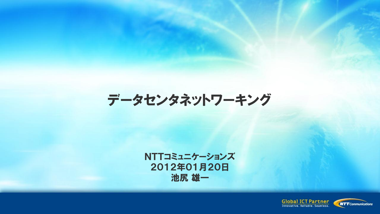# データセンタネットワーキング

NTTコミュニケーションズ 2012年01月20日 池尻 雄一

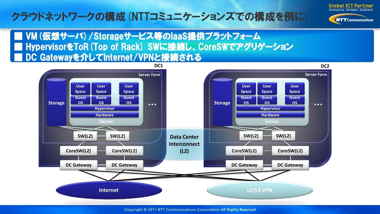#### クラウドネットワークの構成(NTTコミュニケーションズでの構成を例に)



**NTT** Communications

■ VM (仮想サーバ) / Storageサービス等のlaaS提供プラットフォーム ■ HypervisorをToR(Top of Rack) SWに接続し、CoreSWでアグリゲーション DC Gatewayを介してInternet/VPNと接続される



Copyright © 2011 NTT Communications Corporation All Rights Reserved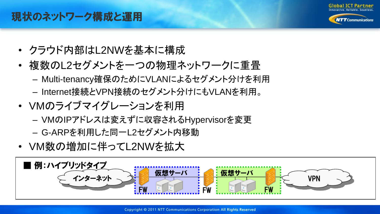

**NITT** Communications

#### 現状のネットワーク構成と運用

- クラウド内部はL2NWを基本に構成
- 複数のL2セグメントを一つの物理ネットワークに重畳
	- Multi-tenancy確保のためにVLANによるセグメント分けを利用
	- Internet接続とVPN接続のセグメント分けにもVLANを利用。
- VMのライブマイグレーションを利用
	- VMのIPアドレスは変えずに収容されるHypervisorを変更
	- G-ARPを利用した同一L2セグメント内移動
- VM数の増加に伴ってL2NWを拡大

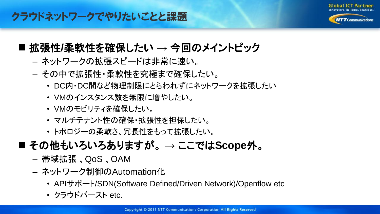

**NITT** Communications

#### クラウドネットワークでやりたいことと課題

#### 拡張性**/**柔軟性を確保したい **→** 今回のメイントピック

- ネットワークの拡張スピードは非常に速い。
- その中で拡張性・柔軟性を究極まで確保したい。
	- DC内・DC間など物理制限にとらわれずにネットワークを拡張したい
	- VMのインスタンス数を無限に増やしたい。
	- VMのモビリティを確保したい。
	- マルチテナント性の確保・拡張性を担保したい。
	- トポロジーの柔軟さ、冗長性をもって拡張したい。
- その他もいろいろありますが。 **→** ここでは**Scope**外。
	- 帯域拡張 、QoS 、OAM
	- ネットワーク制御のAutomation化
		- APIサポート/SDN(Software Defined/Driven Network)/Openflow etc
		- クラウドバースト etc.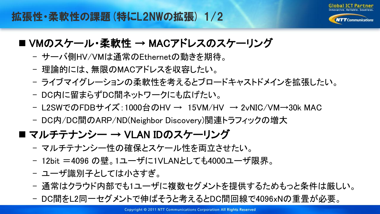

#### ■ VMのスケール・柔軟性 → MACアドレスのスケーリング

- サーバ側HV/VMは通常のEthernetの動きを期待。
- 理論的には、無限のMACアドレスを収容したい。
- ライブマイグレーションの柔軟性を考えるとブロードキャストドメインを拡張したい。
- DC内に留まらずDC間ネットワークにも広げたい。
- L2SWでのFDBサイズ:1000台のHV → 15VM/HV → 2vNIC/VM→30k MAC
- DC内/DC間のARP/ND(Neighbor Discovery)関連トラフィックの増大

#### ■ マルチテナンシー → VLAN IDのスケーリング

- マルチテナンシー性の確保とスケール性を両立させたい。
- 12bit =4096 の壁。1ユーザに1VLANとしても4000ユーザ限界。
- ユーザ識別子としては小さすぎ。
- 通常はクラウド内部でも1ユーザに複数セグメントを提供するためもっと条件は厳しい。
- DC間をL2同一セグメントで伸ばそうと考えるとDC間回線で4096xNの重畳が必要。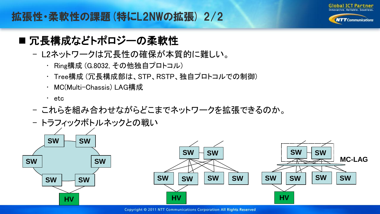

**NTT** Communications

#### 拡張性・柔軟性の課題(特にL2NWの拡張) 2/2

#### ■ 冗長構成などトポロジーの柔軟性

- L2ネットワークは冗長性の確保が本質的に難しい。
	- Ring構成 (G.8032, その他独自プロトコル)
	- Tree構成 (冗長構成部は、STP、RSTP、独自プロトコルでの制御)
	- MC(Multi-Chassis) LAG構成
	- etc
- これらを組み合わせながらどこまでネットワークを拡張できるのか。
- トラフィックボトルネックとの戦い

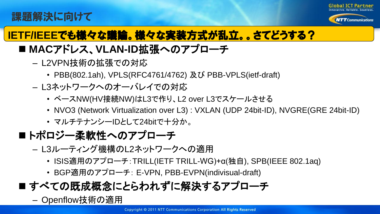#### 課題解決に向けて



 $\boldsymbol{N} \boldsymbol{T} \boldsymbol{T}$ Communications

## **IETF/IEEE**でも様々な議論。様々な実装方式が乱立。。さてどうする?

### ■ MACアドレス、VLAN-ID拡張へのアプローチ

- L2VPN技術の拡張での対応
	- PBB(802.1ah), VPLS(RFC4761/4762) 及び PBB-VPLS(ietf-draft)
- L3ネットワークへのオーバレイでの対応
	- ベースNW(HV接続NW)はL3で作り、L2 over L3でスケールさせる
	- NVO3 (Network Virtualization over L3) : VXLAN (UDP 24bit-ID), NVGRE(GRE 24bit-ID)
	- マルチテナンシーIDとして24bitで十分か。

### ■トポロジー柔軟性へのアプローチ

- L3ルーティング機構のL2ネットワークへの適用
	- ISIS適用のアプローチ:TRILL(IETF TRILL-WG)+α(独自), SPB(IEEE 802.1aq)
	- BGP適用のアプローチ: E-VPN, PBB-EVPN(indivisual-draft)

## ■すべての既成概念にとらわれずに解決するアプローチ

– Openflow技術の適用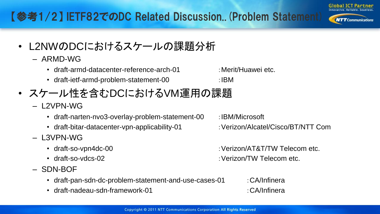### 【参考1/2】 IETF82でのDC Related Discussion..(Problem Statement)

- L2NWのDCにおけるスケールの課題分析
	- ARMD-WG
		- draft-armd-datacenter-reference-arch-01 · Merit/Huawei etc.
		- draft-ietf-armd-problem-statement-00 :IBM
- スケール性を含むDCにおけるVM運用の課題
	- L2VPN-WG
		- draft-narten-nvo3-overlay-problem-statement-00 : IBM/Microsoft
		- draft-bitar-datacenter-vpn-applicability-01 :Verizon/Alcatel/Cisco/BT/NTT Com
	- L3VPN-WG
		-
		-
	- SDN-BOF
		- draft-pan-sdn-dc-problem-statement-and-use-cases-01 : CA/Infinera
		- draft-nadeau-sdn-framework-01 : CA/Infinera
- 
- 

• draft-so-vpn4dc-00 :Verizon/AT&T/TW Telecom etc.

- draft-so-vdcs-02 :Verizon/TW Telecom etc.
	-



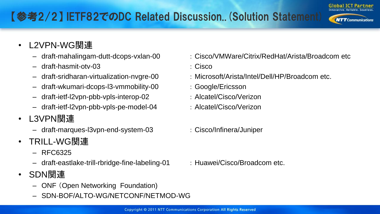## 【参考2/2】 IETF82でのDC Related Discussion..(Solution Statement)

- L2VPN-WG関連
	-
	- draft-hasmit-otv-03 : Cisco
	-
	- draft-wkumari-dcops-l3-vmmobility-00 : Google/Ericsson
	- draft-ietf-l2vpn-pbb-vpls-interop-02 : Alcatel/Cisco/Verizon
	- draft-ietf-l2vpn-pbb-vpls-pe-model-04 : Alcatel/Cisco/Verizon
- L3VPN関連
	- draft-marques-l3vpn-end-system-03 : Cisco/Infinera/Juniper
- TRILL-WG関連
	- $-$  RFC6325
	- draft-eastlake-trill-rbridge-fine-labeling-01 : Huawei/Cisco/Broadcom etc.
- SDN関連
	- ONF (Open Networking Foundation)
	- SDN-BOF/ALTO-WG/NETCONF/NETMOD-WG
- draft-mahalingam-dutt-dcops-vxlan-00 : Cisco/VMWare/Citrix/RedHat/Arista/Broadcom etc
	-
- draft-sridharan-virtualization-nvgre-00 : Microsoft/Arista/Intel/Dell/HP/Broadcom etc.
	-
	-
	-
	-



**Global ICT Partner**